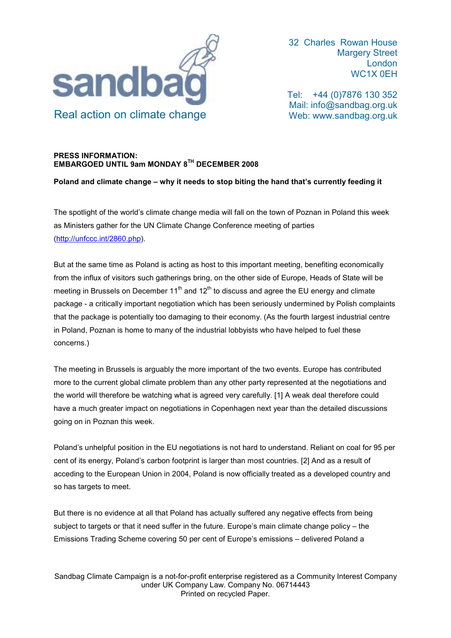

Tel: +44 (0)7876 130 352 Mail: info@sandbag.org.uk Web: www.sandbag.org.uk

## PRESS INFORMATION: EMBARGOED UNTIL 9am MONDAY 8TH DECEMBER 2008

Poland and climate change – why it needs to stop biting the hand that's currently feeding it

The spotlight of the world's climate change media will fall on the town of Poznan in Poland this week as Ministers gather for the UN Climate Change Conference meeting of parties (http://unfccc.int/2860.php).

But at the same time as Poland is acting as host to this important meeting, benefiting economically from the influx of visitors such gatherings bring, on the other side of Europe, Heads of State will be meeting in Brussels on December  $11<sup>th</sup>$  and  $12<sup>th</sup>$  to discuss and agree the EU energy and climate package - a critically important negotiation which has been seriously undermined by Polish complaints that the package is potentially too damaging to their economy. (As the fourth largest industrial centre in Poland, Poznan is home to many of the industrial lobbyists who have helped to fuel these concerns.)

The meeting in Brussels is arguably the more important of the two events. Europe has contributed more to the current global climate problem than any other party represented at the negotiations and the world will therefore be watching what is agreed very carefully. [1] A weak deal therefore could have a much greater impact on negotiations in Copenhagen next year than the detailed discussions going on in Poznan this week.

Poland's unhelpful position in the EU negotiations is not hard to understand. Reliant on coal for 95 per cent of its energy, Poland's carbon footprint is larger than most countries. [2] And as a result of acceding to the European Union in 2004, Poland is now officially treated as a developed country and so has targets to meet.

But there is no evidence at all that Poland has actually suffered any negative effects from being subject to targets or that it need suffer in the future. Europe's main climate change policy – the Emissions Trading Scheme covering 50 per cent of Europe's emissions – delivered Poland a

Sandbag Climate Campaign is a not-for-profit enterprise registered as a Community Interest Company under UK Company Law. Company No. 06714443 Printed on recycled Paper.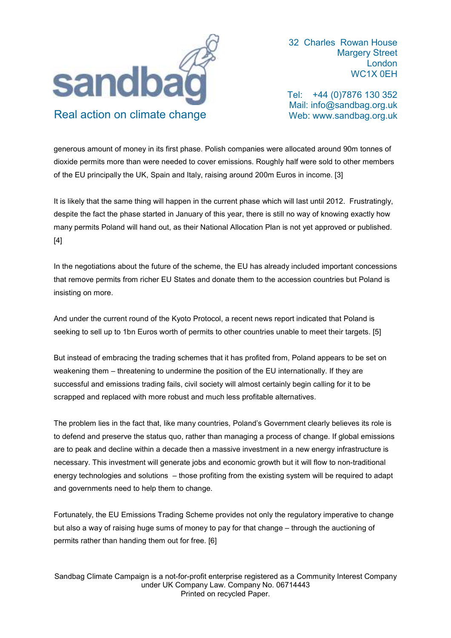

Tel: +44 (0)7876 130 352 Mail: info@sandbag.org.uk Web: www.sandbag.org.uk

generous amount of money in its first phase. Polish companies were allocated around 90m tonnes of dioxide permits more than were needed to cover emissions. Roughly half were sold to other members of the EU principally the UK, Spain and Italy, raising around 200m Euros in income. [3]

It is likely that the same thing will happen in the current phase which will last until 2012. Frustratingly, despite the fact the phase started in January of this year, there is still no way of knowing exactly how many permits Poland will hand out, as their National Allocation Plan is not yet approved or published. [4]

In the negotiations about the future of the scheme, the EU has already included important concessions that remove permits from richer EU States and donate them to the accession countries but Poland is insisting on more.

And under the current round of the Kyoto Protocol, a recent news report indicated that Poland is seeking to sell up to 1bn Euros worth of permits to other countries unable to meet their targets. [5]

But instead of embracing the trading schemes that it has profited from, Poland appears to be set on weakening them – threatening to undermine the position of the EU internationally. If they are successful and emissions trading fails, civil society will almost certainly begin calling for it to be scrapped and replaced with more robust and much less profitable alternatives.

The problem lies in the fact that, like many countries, Poland's Government clearly believes its role is to defend and preserve the status quo, rather than managing a process of change. If global emissions are to peak and decline within a decade then a massive investment in a new energy infrastructure is necessary. This investment will generate jobs and economic growth but it will flow to non-traditional energy technologies and solutions – those profiting from the existing system will be required to adapt and governments need to help them to change.

Fortunately, the EU Emissions Trading Scheme provides not only the regulatory imperative to change but also a way of raising huge sums of money to pay for that change – through the auctioning of permits rather than handing them out for free. [6]

Sandbag Climate Campaign is a not-for-profit enterprise registered as a Community Interest Company under UK Company Law. Company No. 06714443 Printed on recycled Paper.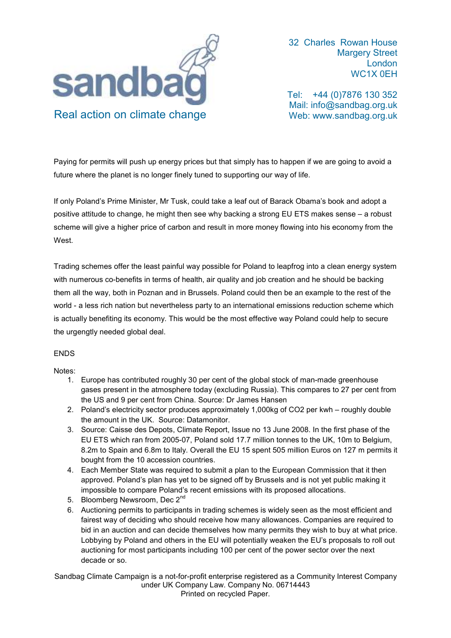

Tel: +44 (0)7876 130 352 Mail: info@sandbag.org.uk Web: www.sandbag.org.uk

Paying for permits will push up energy prices but that simply has to happen if we are going to avoid a future where the planet is no longer finely tuned to supporting our way of life.

If only Poland's Prime Minister, Mr Tusk, could take a leaf out of Barack Obama's book and adopt a positive attitude to change, he might then see why backing a strong EU ETS makes sense – a robust scheme will give a higher price of carbon and result in more money flowing into his economy from the West.

Trading schemes offer the least painful way possible for Poland to leapfrog into a clean energy system with numerous co-benefits in terms of health, air quality and job creation and he should be backing them all the way, both in Poznan and in Brussels. Poland could then be an example to the rest of the world - a less rich nation but nevertheless party to an international emissions reduction scheme which is actually benefiting its economy. This would be the most effective way Poland could help to secure the urgengtly needed global deal.

## ENDS

Notes:

- 1. Europe has contributed roughly 30 per cent of the global stock of man-made greenhouse gases present in the atmosphere today (excluding Russia). This compares to 27 per cent from the US and 9 per cent from China. Source: Dr James Hansen
- 2. Poland's electricity sector produces approximately 1,000kg of CO2 per kwh roughly double the amount in the UK. Source: Datamonitor.
- 3. Source: Caisse des Depots, Climate Report, Issue no 13 June 2008. In the first phase of the EU ETS which ran from 2005-07, Poland sold 17.7 million tonnes to the UK, 10m to Belgium, 8.2m to Spain and 6.8m to Italy. Overall the EU 15 spent 505 million Euros on 127 m permits it bought from the 10 accession countries.
- 4. Each Member State was required to submit a plan to the European Commission that it then approved. Poland's plan has yet to be signed off by Brussels and is not yet public making it impossible to compare Poland's recent emissions with its proposed allocations.
- 5. Bloomberg Newsroom, Dec 2<sup>nd</sup>
- 6. Auctioning permits to participants in trading schemes is widely seen as the most efficient and fairest way of deciding who should receive how many allowances. Companies are required to bid in an auction and can decide themselves how many permits they wish to buy at what price. Lobbying by Poland and others in the EU will potentially weaken the EU's proposals to roll out auctioning for most participants including 100 per cent of the power sector over the next decade or so.

Sandbag Climate Campaign is a not-for-profit enterprise registered as a Community Interest Company under UK Company Law. Company No. 06714443 Printed on recycled Paper.